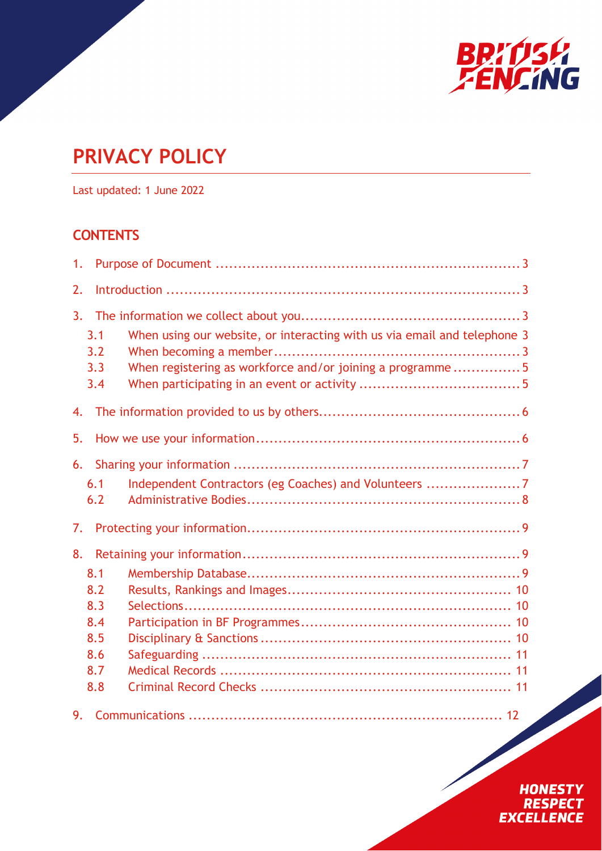

# **PRIVACY POLICY**

Last updated: 1 June 2022

# **CONTENTS**

| 1. |                                                      |                                                                                                                                        |  |
|----|------------------------------------------------------|----------------------------------------------------------------------------------------------------------------------------------------|--|
| 2. |                                                      |                                                                                                                                        |  |
| 3. | 3.1<br>3.2<br>3.3<br>3.4                             | When using our website, or interacting with us via email and telephone 3<br>When registering as workforce and/or joining a programme 5 |  |
| 4. |                                                      |                                                                                                                                        |  |
| 5. |                                                      |                                                                                                                                        |  |
| 6. | 6.1<br>6.2                                           |                                                                                                                                        |  |
| 7. |                                                      |                                                                                                                                        |  |
| 8. | 8.1<br>8.2<br>8.3<br>8.4<br>8.5<br>8.6<br>8.7<br>8.8 |                                                                                                                                        |  |
| 9. |                                                      |                                                                                                                                        |  |

# **HONESTY RESPECT**<br>EXCELLENCE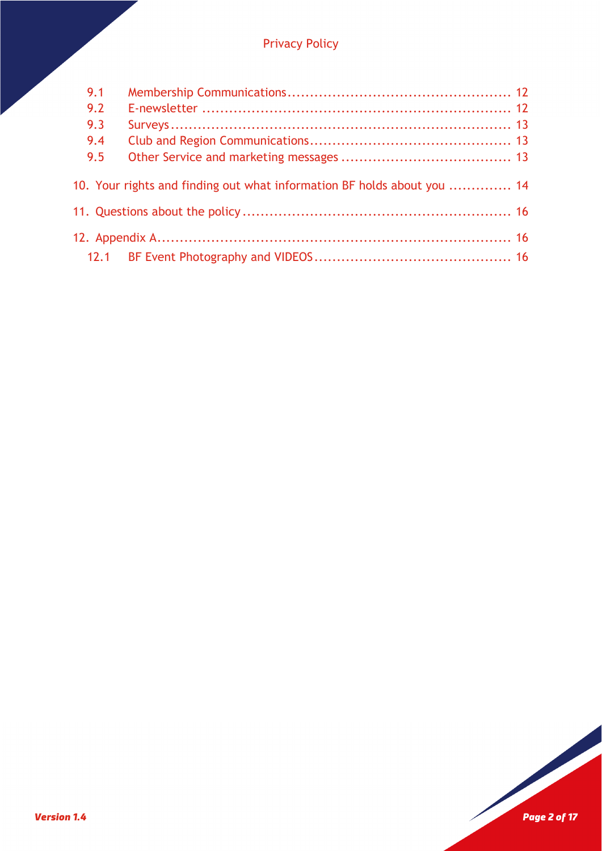| 9.1 |                                                                         |  |
|-----|-------------------------------------------------------------------------|--|
| 9.2 |                                                                         |  |
| 9.3 |                                                                         |  |
| 9.4 |                                                                         |  |
| 9.5 |                                                                         |  |
|     | 10. Your rights and finding out what information BF holds about you  14 |  |
|     |                                                                         |  |
|     |                                                                         |  |
|     |                                                                         |  |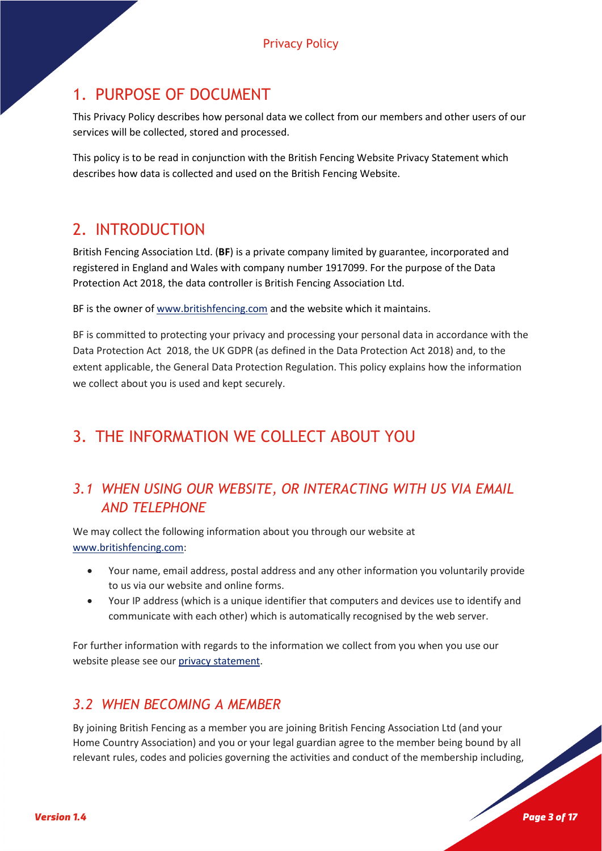# <span id="page-2-0"></span>1. PURPOSE OF DOCUMENT

This Privacy Policy describes how personal data we collect from our members and other users of our services will be collected, stored and processed.

This policy is to be read in conjunction with the British Fencing Website Privacy Statement which describes how data is collected and used on the British Fencing Website.

# <span id="page-2-1"></span>2. INTRODUCTION

British Fencing Association Ltd. (**BF**) is a private company limited by guarantee, incorporated and registered in England and Wales with company number 1917099. For the purpose of the Data Protection Act 2018, the data controller is British Fencing Association Ltd.

BF is the owner of [www.britishfencing.com](http://www.britishfencing.com/) and the website which it maintains.

BF is committed to protecting your privacy and processing your personal data in accordance with the Data Protection Act 2018, the UK GDPR (as defined in the Data Protection Act 2018) and, to the extent applicable, the General Data Protection Regulation. This policy explains how the information we collect about you is used and kept securely.

# <span id="page-2-2"></span>3. THE INFORMATION WE COLLECT ABOUT YOU

# <span id="page-2-3"></span>*3.1 WHEN USING OUR WEBSITE, OR INTERACTING WITH US VIA EMAIL AND TELEPHONE*

We may collect the following information about you through our website at [www.britishfencing.com:](http://www.britishfencing.com/)

- Your name, email address, postal address and any other information you voluntarily provide to us via our website and online forms.
- Your IP address (which is a unique identifier that computers and devices use to identify and communicate with each other) which is automatically recognised by the web server.

For further information with regards to the information we collect from you when you use our website please see ou[r privacy statement.](https://www.britishfencing.com/policy-zone/gdpr-data-protection/)

## <span id="page-2-4"></span>*3.2 WHEN BECOMING A MEMBER*

By joining British Fencing as a member you are joining British Fencing Association Ltd (and your Home Country Association) and you or your legal guardian agree to the member being bound by all relevant rules, codes and policies governing the activities and conduct of the membership including,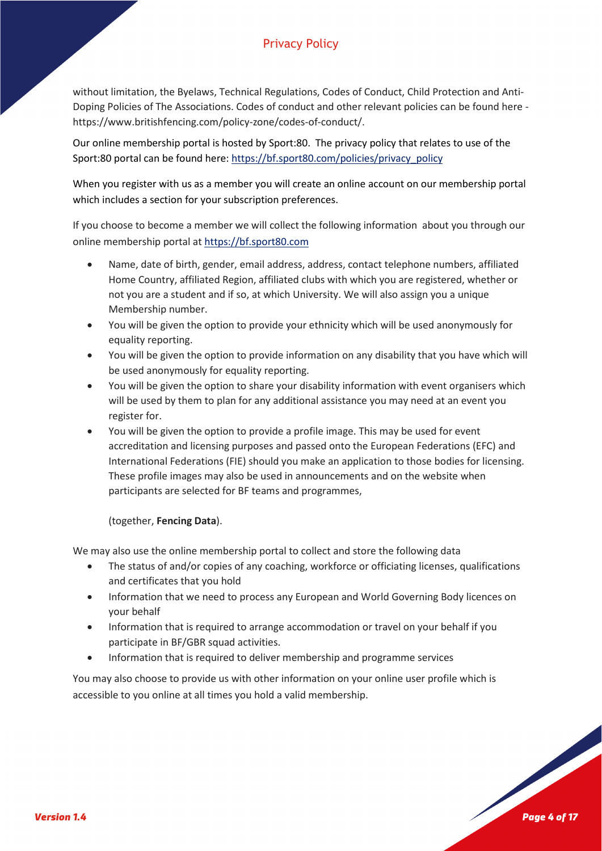without limitation, the Byelaws, Technical Regulations, Codes of Conduct, Child Protection and Anti-Doping Policies of The Associations. Codes of conduct and other relevant policies can be found here https://www.britishfencing.com/policy-zone/codes-of-conduct/.

Our online membership portal is hosted by Sport:80. The privacy policy that relates to use of the Sport:80 portal can be found here: [https://bf.sport80.com/policies/privacy\\_policy](https://bf.sport80.com/policies/privacy_policy)

When you register with us as a member you will create an online account on our membership portal which includes a section for your subscription preferences.

If you choose to become a member we will collect the following information about you through our online membership portal at [https://bf.sport80.com](https://bf.sport80.com/) 

- Name, date of birth, gender, email address, address, contact telephone numbers, affiliated Home Country, affiliated Region, affiliated clubs with which you are registered, whether or not you are a student and if so, at which University. We will also assign you a unique Membership number.
- You will be given the option to provide your ethnicity which will be used anonymously for equality reporting.
- You will be given the option to provide information on any disability that you have which will be used anonymously for equality reporting.
- You will be given the option to share your disability information with event organisers which will be used by them to plan for any additional assistance you may need at an event you register for.
- You will be given the option to provide a profile image. This may be used for event accreditation and licensing purposes and passed onto the European Federations (EFC) and International Federations (FIE) should you make an application to those bodies for licensing. These profile images may also be used in announcements and on the website when participants are selected for BF teams and programmes,

#### (together, **Fencing Data**).

We may also use the online membership portal to collect and store the following data

- The status of and/or copies of any coaching, workforce or officiating licenses, qualifications and certificates that you hold
- Information that we need to process any European and World Governing Body licences on your behalf
- Information that is required to arrange accommodation or travel on your behalf if you participate in BF/GBR squad activities.
- Information that is required to deliver membership and programme services

You may also choose to provide us with other information on your online user profile which is accessible to you online at all times you hold a valid membership.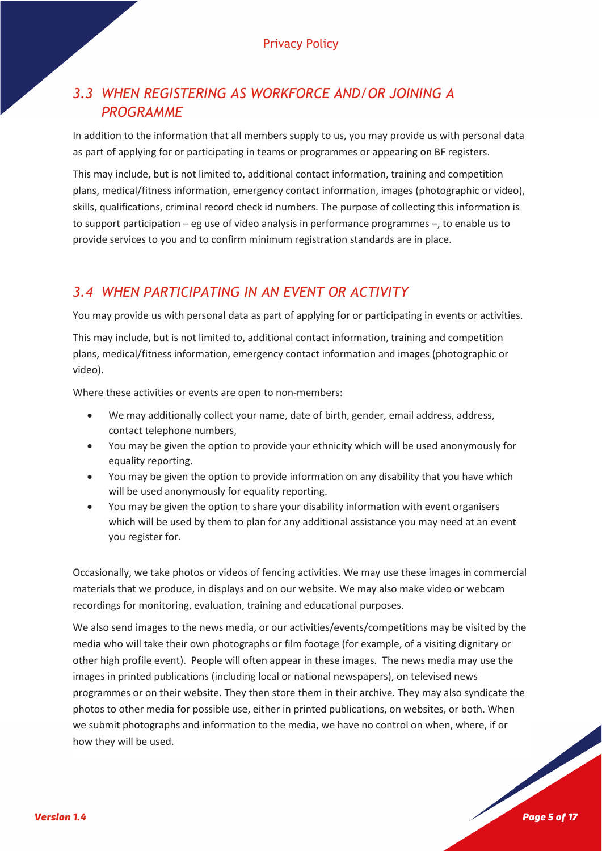# <span id="page-4-0"></span>*3.3 WHEN REGISTERING AS WORKFORCE AND/OR JOINING A PROGRAMME*

In addition to the information that all members supply to us, you may provide us with personal data as part of applying for or participating in teams or programmes or appearing on BF registers.

This may include, but is not limited to, additional contact information, training and competition plans, medical/fitness information, emergency contact information, images (photographic or video), skills, qualifications, criminal record check id numbers. The purpose of collecting this information is to support participation – eg use of video analysis in performance programmes –, to enable us to provide services to you and to confirm minimum registration standards are in place.

### <span id="page-4-1"></span>*3.4 WHEN PARTICIPATING IN AN EVENT OR ACTIVITY*

You may provide us with personal data as part of applying for or participating in events or activities.

This may include, but is not limited to, additional contact information, training and competition plans, medical/fitness information, emergency contact information and images (photographic or video).

Where these activities or events are open to non-members:

- We may additionally collect your name, date of birth, gender, email address, address, contact telephone numbers,
- You may be given the option to provide your ethnicity which will be used anonymously for equality reporting.
- You may be given the option to provide information on any disability that you have which will be used anonymously for equality reporting.
- You may be given the option to share your disability information with event organisers which will be used by them to plan for any additional assistance you may need at an event you register for.

Occasionally, we take photos or videos of fencing activities. We may use these images in commercial materials that we produce, in displays and on our website. We may also make video or webcam recordings for monitoring, evaluation, training and educational purposes.

We also send images to the news media, or our activities/events/competitions may be visited by the media who will take their own photographs or film footage (for example, of a visiting dignitary or other high profile event). People will often appear in these images. The news media may use the images in printed publications (including local or national newspapers), on televised news programmes or on their website. They then store them in their archive. They may also syndicate the photos to other media for possible use, either in printed publications, on websites, or both. When we submit photographs and information to the media, we have no control on when, where, if or how they will be used.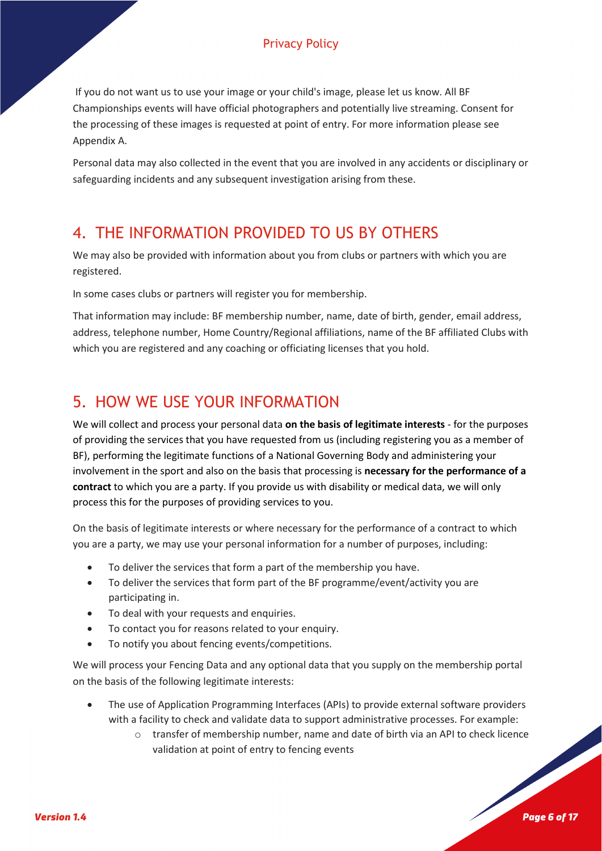If you do not want us to use your image or your child's image, please let us know. All BF Championships events will have official photographers and potentially live streaming. Consent for the processing of these images is requested at point of entry. For more information please see Appendix A.

Personal data may also collected in the event that you are involved in any accidents or disciplinary or safeguarding incidents and any subsequent investigation arising from these.

# <span id="page-5-0"></span>4. THE INFORMATION PROVIDED TO US BY OTHERS

We may also be provided with information about you from clubs or partners with which you are registered.

In some cases clubs or partners will register you for membership.

That information may include: BF membership number, name, date of birth, gender, email address, address, telephone number, Home Country/Regional affiliations, name of the BF affiliated Clubs with which you are registered and any coaching or officiating licenses that you hold.

# <span id="page-5-1"></span>5. HOW WE USE YOUR INFORMATION

We will collect and process your personal data **on the basis of legitimate interests** - for the purposes of providing the services that you have requested from us (including registering you as a member of BF), performing the legitimate functions of a National Governing Body and administering your involvement in the sport and also on the basis that processing is **necessary for the performance of a contract** to which you are a party. If you provide us with disability or medical data, we will only process this for the purposes of providing services to you.

On the basis of legitimate interests or where necessary for the performance of a contract to which you are a party, we may use your personal information for a number of purposes, including:

- To deliver the services that form a part of the membership you have.
- To deliver the services that form part of the BF programme/event/activity you are participating in.
- To deal with your requests and enquiries.
- To contact you for reasons related to your enquiry.
- To notify you about fencing events/competitions.

We will process your Fencing Data and any optional data that you supply on the membership portal on the basis of the following legitimate interests:

- The use of Application Programming Interfaces (APIs) to provide external software providers with a facility to check and validate data to support administrative processes. For example:
	- o transfer of membership number, name and date of birth via an API to check licence validation at point of entry to fencing events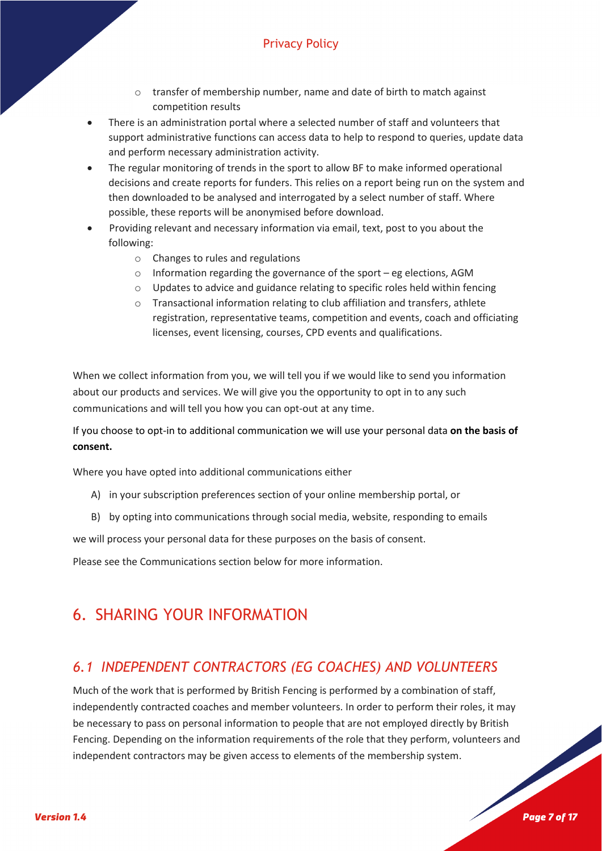- o transfer of membership number, name and date of birth to match against competition results
- There is an administration portal where a selected number of staff and volunteers that support administrative functions can access data to help to respond to queries, update data and perform necessary administration activity.
- The regular monitoring of trends in the sport to allow BF to make informed operational decisions and create reports for funders. This relies on a report being run on the system and then downloaded to be analysed and interrogated by a select number of staff. Where possible, these reports will be anonymised before download.
- Providing relevant and necessary information via email, text, post to you about the following:
	- o Changes to rules and regulations
	- o Information regarding the governance of the sport eg elections, AGM
	- o Updates to advice and guidance relating to specific roles held within fencing
	- o Transactional information relating to club affiliation and transfers, athlete registration, representative teams, competition and events, coach and officiating licenses, event licensing, courses, CPD events and qualifications.

When we collect information from you, we will tell you if we would like to send you information about our products and services. We will give you the opportunity to opt in to any such communications and will tell you how you can opt-out at any time.

If you choose to opt-in to additional communication we will use your personal data **on the basis of consent.**

Where you have opted into additional communications either

- A) in your subscription preferences section of your online membership portal, or
- B) by opting into communications through social media, website, responding to emails

we will process your personal data for these purposes on the basis of consent.

Please see the Communications section below for more information.

# <span id="page-6-0"></span>6. SHARING YOUR INFORMATION

### <span id="page-6-1"></span>*6.1 INDEPENDENT CONTRACTORS (EG COACHES) AND VOLUNTEERS*

Much of the work that is performed by British Fencing is performed by a combination of staff, independently contracted coaches and member volunteers. In order to perform their roles, it may be necessary to pass on personal information to people that are not employed directly by British Fencing. Depending on the information requirements of the role that they perform, volunteers and independent contractors may be given access to elements of the membership system.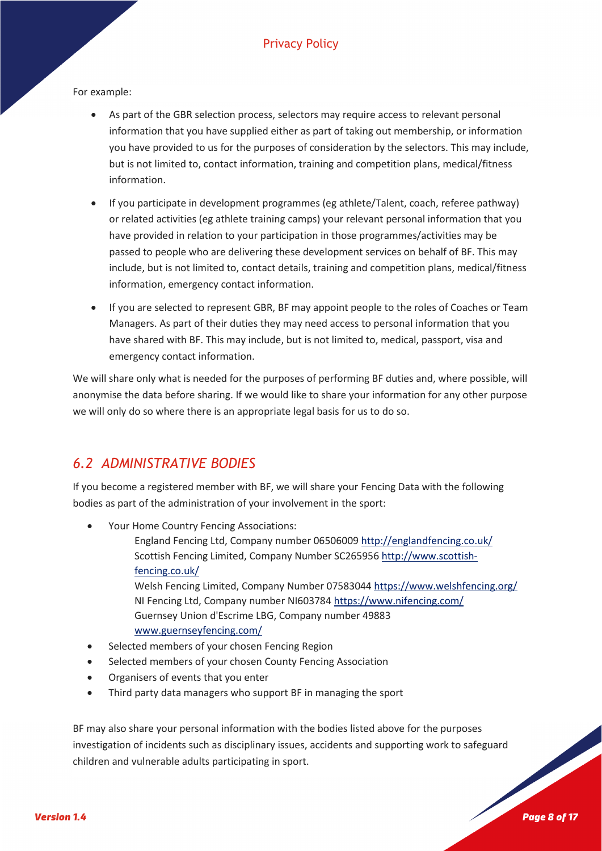For example:

- As part of the GBR selection process, selectors may require access to relevant personal information that you have supplied either as part of taking out membership, or information you have provided to us for the purposes of consideration by the selectors. This may include, but is not limited to, contact information, training and competition plans, medical/fitness information.
- If you participate in development programmes (eg athlete/Talent, coach, referee pathway) or related activities (eg athlete training camps) your relevant personal information that you have provided in relation to your participation in those programmes/activities may be passed to people who are delivering these development services on behalf of BF. This may include, but is not limited to, contact details, training and competition plans, medical/fitness information, emergency contact information.
- If you are selected to represent GBR, BF may appoint people to the roles of Coaches or Team Managers. As part of their duties they may need access to personal information that you have shared with BF. This may include, but is not limited to, medical, passport, visa and emergency contact information.

We will share only what is needed for the purposes of performing BF duties and, where possible, will anonymise the data before sharing. If we would like to share your information for any other purpose we will only do so where there is an appropriate legal basis for us to do so.

### <span id="page-7-0"></span>*6.2 ADMINISTRATIVE BODIES*

If you become a registered member with BF, we will share your Fencing Data with the following bodies as part of the administration of your involvement in the sport:

- Your Home Country Fencing Associations:
	- England Fencing Ltd, Company number 06506009 <http://englandfencing.co.uk/> Scottish Fencing Limited, Company Number SC265956 [http://www.scottish](http://www.scottish-fencing.co.uk/)[fencing.co.uk/](http://www.scottish-fencing.co.uk/)  Welsh Fencing Limited, Company Number 07583044 <https://www.welshfencing.org/> NI Fencing Ltd, Company number NI603784 <https://www.nifencing.com/> Guernsey Union d'Escrime LBG, Company number 49883 [www.guernseyfencing.com/](http://www.guernseyfencing.com/)
- Selected members of your chosen Fencing Region
- Selected members of your chosen County Fencing Association
- Organisers of events that you enter
- Third party data managers who support BF in managing the sport

BF may also share your personal information with the bodies listed above for the purposes investigation of incidents such as disciplinary issues, accidents and supporting work to safeguard children and vulnerable adults participating in sport.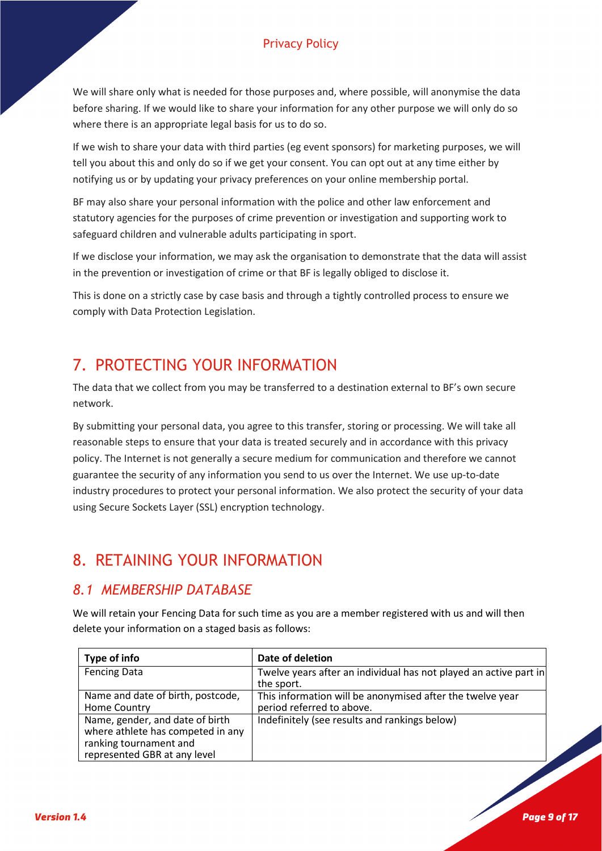We will share only what is needed for those purposes and, where possible, will anonymise the data before sharing. If we would like to share your information for any other purpose we will only do so where there is an appropriate legal basis for us to do so.

If we wish to share your data with third parties (eg event sponsors) for marketing purposes, we will tell you about this and only do so if we get your consent. You can opt out at any time either by notifying us or by updating your privacy preferences on your online membership portal.

BF may also share your personal information with the police and other law enforcement and statutory agencies for the purposes of crime prevention or investigation and supporting work to safeguard children and vulnerable adults participating in sport.

If we disclose your information, we may ask the organisation to demonstrate that the data will assist in the prevention or investigation of crime or that BF is legally obliged to disclose it.

This is done on a strictly case by case basis and through a tightly controlled process to ensure we comply with Data Protection Legislation.

# <span id="page-8-0"></span>7. PROTECTING YOUR INFORMATION

The data that we collect from you may be transferred to a destination external to BF's own secure network.

By submitting your personal data, you agree to this transfer, storing or processing. We will take all reasonable steps to ensure that your data is treated securely and in accordance with this privacy policy. The Internet is not generally a secure medium for communication and therefore we cannot guarantee the security of any information you send to us over the Internet. We use up-to-date industry procedures to protect your personal information. We also protect the security of your data using Secure Sockets Layer (SSL) encryption technology.

# <span id="page-8-1"></span>8. RETAINING YOUR INFORMATION

## <span id="page-8-2"></span>*8.1 MEMBERSHIP DATABASE*

We will retain your Fencing Data for such time as you are a member registered with us and will then delete your information on a staged basis as follows:

| Type of info                                                                                                                   | Date of deletion                                                                       |
|--------------------------------------------------------------------------------------------------------------------------------|----------------------------------------------------------------------------------------|
| <b>Fencing Data</b>                                                                                                            | Twelve years after an individual has not played an active part in<br>the sport.        |
| Name and date of birth, postcode,<br>Home Country                                                                              | This information will be anonymised after the twelve year<br>period referred to above. |
| Name, gender, and date of birth<br>where athlete has competed in any<br>ranking tournament and<br>represented GBR at any level | Indefinitely (see results and rankings below)                                          |

*Version 1.4 Page 9 of 17*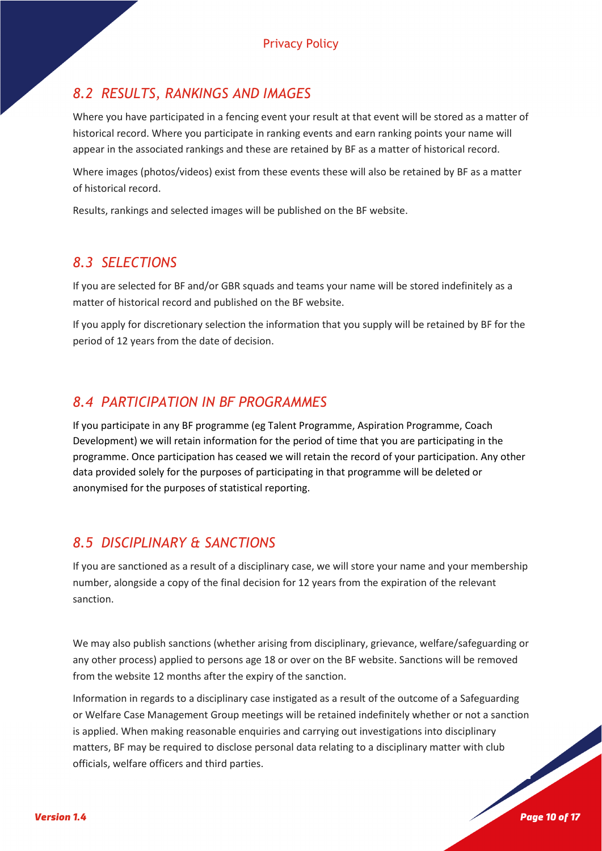## <span id="page-9-0"></span>*8.2 RESULTS, RANKINGS AND IMAGES*

Where you have participated in a fencing event your result at that event will be stored as a matter of historical record. Where you participate in ranking events and earn ranking points your name will appear in the associated rankings and these are retained by BF as a matter of historical record.

Where images (photos/videos) exist from these events these will also be retained by BF as a matter of historical record.

Results, rankings and selected images will be published on the BF website.

#### <span id="page-9-1"></span>*8.3 SELECTIONS*

If you are selected for BF and/or GBR squads and teams your name will be stored indefinitely as a matter of historical record and published on the BF website.

If you apply for discretionary selection the information that you supply will be retained by BF for the period of 12 years from the date of decision.

#### <span id="page-9-2"></span>*8.4 PARTICIPATION IN BF PROGRAMMES*

If you participate in any BF programme (eg Talent Programme, Aspiration Programme, Coach Development) we will retain information for the period of time that you are participating in the programme. Once participation has ceased we will retain the record of your participation. Any other data provided solely for the purposes of participating in that programme will be deleted or anonymised for the purposes of statistical reporting.

### <span id="page-9-3"></span>*8.5 DISCIPLINARY & SANCTIONS*

If you are sanctioned as a result of a disciplinary case, we will store your name and your membership number, alongside a copy of the final decision for 12 years from the expiration of the relevant sanction.

We may also publish sanctions (whether arising from disciplinary, grievance, welfare/safeguarding or any other process) applied to persons age 18 or over on the BF website. Sanctions will be removed from the website 12 months after the expiry of the sanction.

Information in regards to a disciplinary case instigated as a result of the outcome of a Safeguarding or Welfare Case Management Group meetings will be retained indefinitely whether or not a sanction is applied. When making reasonable enquiries and carrying out investigations into disciplinary matters, BF may be required to disclose personal data relating to a disciplinary matter with club officials, welfare officers and third parties.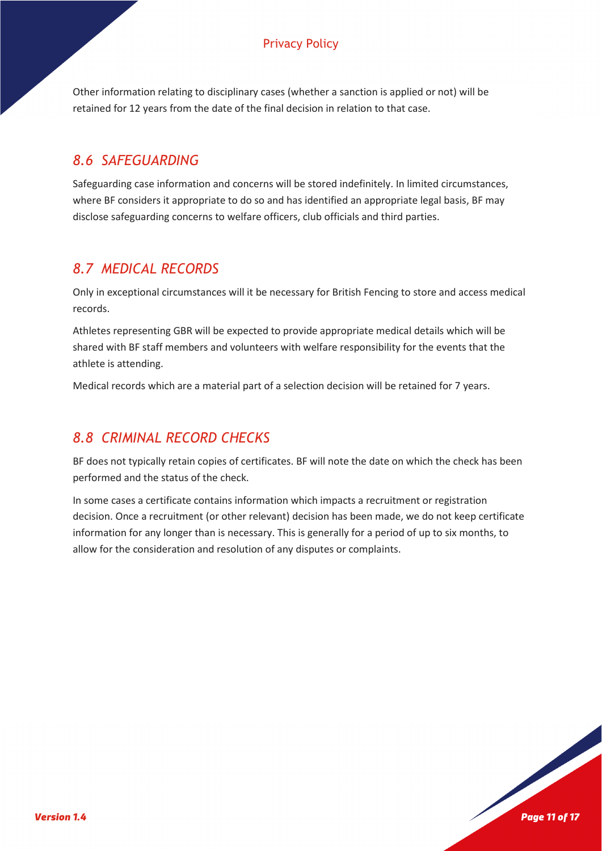Other information relating to disciplinary cases (whether a sanction is applied or not) will be retained for 12 years from the date of the final decision in relation to that case.

### <span id="page-10-0"></span>*8.6 SAFEGUARDING*

Safeguarding case information and concerns will be stored indefinitely. In limited circumstances, where BF considers it appropriate to do so and has identified an appropriate legal basis, BF may disclose safeguarding concerns to welfare officers, club officials and third parties.

### <span id="page-10-1"></span>*8.7 MEDICAL RECORDS*

Only in exceptional circumstances will it be necessary for British Fencing to store and access medical records.

Athletes representing GBR will be expected to provide appropriate medical details which will be shared with BF staff members and volunteers with welfare responsibility for the events that the athlete is attending.

Medical records which are a material part of a selection decision will be retained for 7 years.

## <span id="page-10-2"></span>*8.8 CRIMINAL RECORD CHECKS*

BF does not typically retain copies of certificates. BF will note the date on which the check has been performed and the status of the check.

In some cases a certificate contains information which impacts a recruitment or registration decision. Once a recruitment (or other relevant) decision has been made, we do not keep certificate information for any longer than is necessary. This is generally for a period of up to six months, to allow for the consideration and resolution of any disputes or complaints.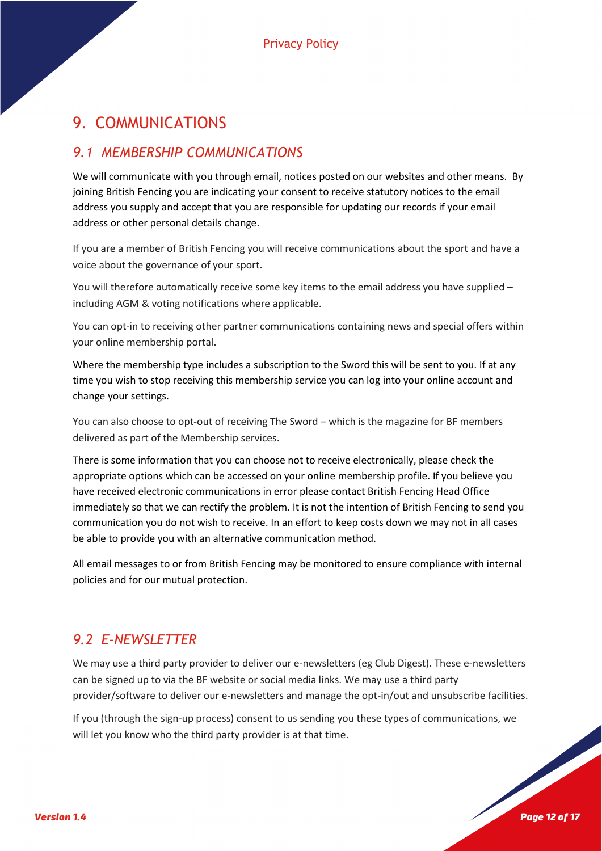# <span id="page-11-0"></span>9. COMMUNICATIONS

### <span id="page-11-1"></span>*9.1 MEMBERSHIP COMMUNICATIONS*

We will communicate with you through email, notices posted on our websites and other means. By joining British Fencing you are indicating your consent to receive statutory notices to the email address you supply and accept that you are responsible for updating our records if your email address or other personal details change.

If you are a member of British Fencing you will receive communications about the sport and have a voice about the governance of your sport.

You will therefore automatically receive some key items to the email address you have supplied – including AGM & voting notifications where applicable.

You can opt-in to receiving other partner communications containing news and special offers within your online membership portal.

Where the membership type includes a subscription to the Sword this will be sent to you. If at any time you wish to stop receiving this membership service you can log into your online account and change your settings.

You can also choose to opt-out of receiving The Sword – which is the magazine for BF members delivered as part of the Membership services.

There is some information that you can choose not to receive electronically, please check the appropriate options which can be accessed on your online membership profile. If you believe you have received electronic communications in error please contact British Fencing Head Office immediately so that we can rectify the problem. It is not the intention of British Fencing to send you communication you do not wish to receive. In an effort to keep costs down we may not in all cases be able to provide you with an alternative communication method.

All email messages to or from British Fencing may be monitored to ensure compliance with internal policies and for our mutual protection.

### <span id="page-11-2"></span>*9.2 E-NEWSLETTER*

We may use a third party provider to deliver our e-newsletters (eg Club Digest). These e-newsletters can be signed up to via the BF website or social media links. We may use a third party provider/software to deliver our e-newsletters and manage the opt-in/out and unsubscribe facilities.

If you (through the sign-up process) consent to us sending you these types of communications, we will let you know who the third party provider is at that time.

*Version 1.4 Page 12 of 17*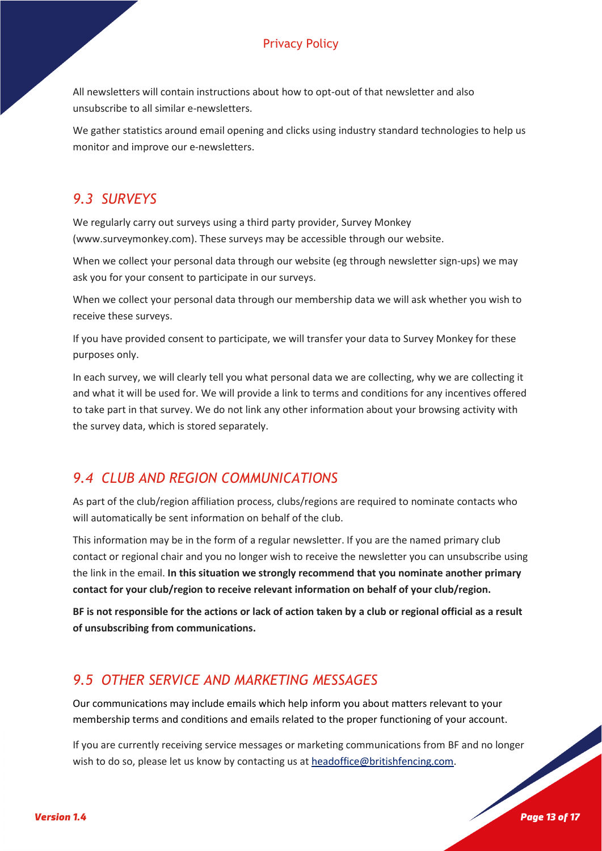All newsletters will contain instructions about how to opt-out of that newsletter and also unsubscribe to all similar e-newsletters.

We gather statistics around email opening and clicks using industry standard technologies to help us monitor and improve our e-newsletters.

# <span id="page-12-0"></span>*9.3 SURVEYS*

We regularly carry out surveys using a third party provider, Survey Monkey (www.surveymonkey.com). These surveys may be accessible through our website.

When we collect your personal data through our website (eg through newsletter sign-ups) we may ask you for your consent to participate in our surveys.

When we collect your personal data through our membership data we will ask whether you wish to receive these surveys.

If you have provided consent to participate, we will transfer your data to Survey Monkey for these purposes only.

In each survey, we will clearly tell you what personal data we are collecting, why we are collecting it and what it will be used for. We will provide a link to terms and conditions for any incentives offered to take part in that survey. We do not link any other information about your browsing activity with the survey data, which is stored separately.

# <span id="page-12-1"></span>*9.4 CLUB AND REGION COMMUNICATIONS*

As part of the club/region affiliation process, clubs/regions are required to nominate contacts who will automatically be sent information on behalf of the club.

This information may be in the form of a regular newsletter. If you are the named primary club contact or regional chair and you no longer wish to receive the newsletter you can unsubscribe using the link in the email. **In this situation we strongly recommend that you nominate another primary contact for your club/region to receive relevant information on behalf of your club/region.** 

**BF is not responsible for the actions or lack of action taken by a club or regional official as a result of unsubscribing from communications.** 

## <span id="page-12-2"></span>*9.5 OTHER SERVICE AND MARKETING MESSAGES*

Our communications may include emails which help inform you about matters relevant to your membership terms and conditions and emails related to the proper functioning of your account.

If you are currently receiving service messages or marketing communications from BF and no longer wish to do so, please let us know by contacting us at [headoffice@britishfencing.com.](mailto:headoffice@britishfencing.com)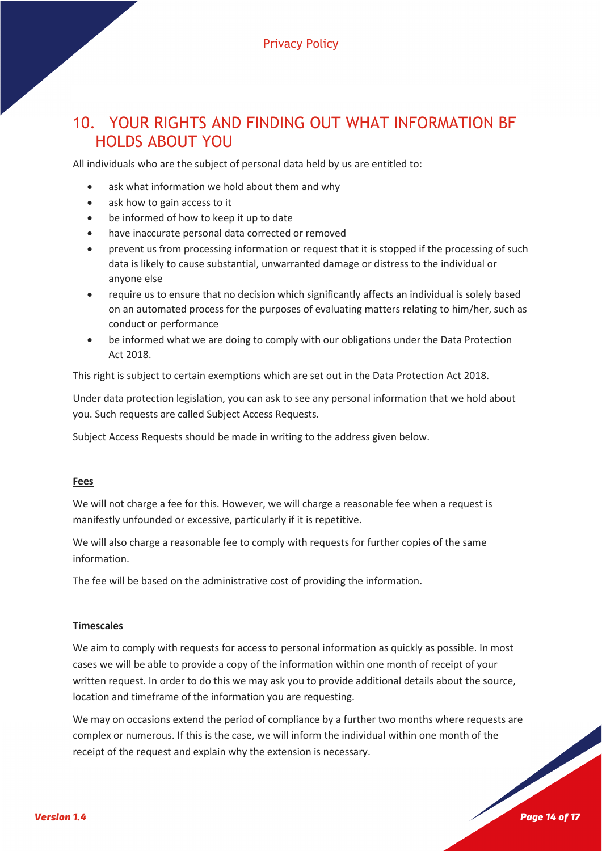# <span id="page-13-0"></span>10. YOUR RIGHTS AND FINDING OUT WHAT INFORMATION BF HOLDS ABOUT YOU

All individuals who are the subject of personal data held by us are entitled to:

- ask what information we hold about them and why
- ask how to gain access to it
- be informed of how to keep it up to date
- have inaccurate personal data corrected or removed
- prevent us from processing information or request that it is stopped if the processing of such data is likely to cause substantial, unwarranted damage or distress to the individual or anyone else
- require us to ensure that no decision which significantly affects an individual is solely based on an automated process for the purposes of evaluating matters relating to him/her, such as conduct or performance
- be informed what we are doing to comply with our obligations under the Data Protection Act 2018.

This right is subject to certain exemptions which are set out in the Data Protection Act 2018.

Under data protection legislation, you can ask to see any personal information that we hold about you. Such requests are called Subject Access Requests.

Subject Access Requests should be made in writing to the address given below.

#### **Fees**

We will not charge a fee for this. However, we will charge a reasonable fee when a request is manifestly unfounded or excessive, particularly if it is repetitive.

We will also charge a reasonable fee to comply with requests for further copies of the same information.

The fee will be based on the administrative cost of providing the information.

#### **Timescales**

We aim to comply with requests for access to personal information as quickly as possible. In most cases we will be able to provide a copy of the information within one month of receipt of your written request. In order to do this we may ask you to provide additional details about the source, location and timeframe of the information you are requesting.

We may on occasions extend the period of compliance by a further two months where requests are complex or numerous. If this is the case, we will inform the individual within one month of the receipt of the request and explain why the extension is necessary.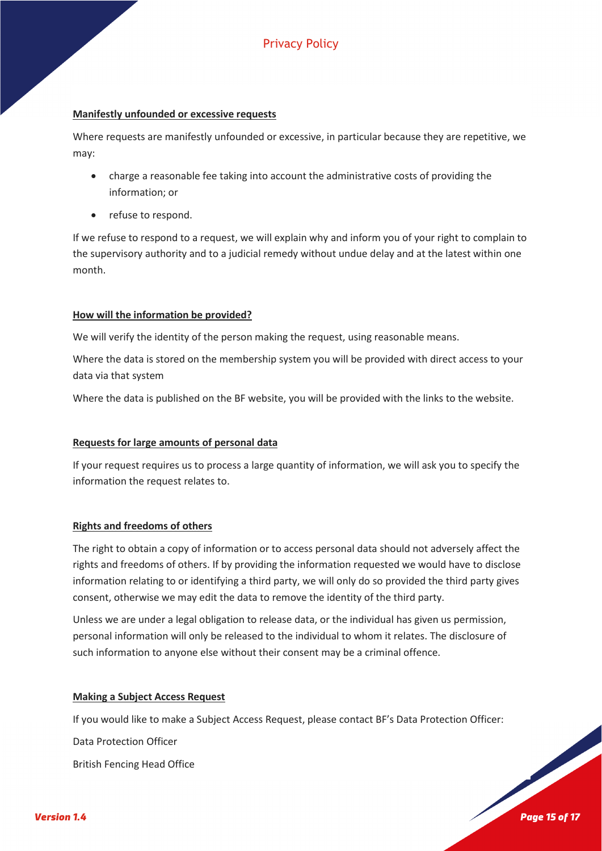#### **Manifestly unfounded or excessive requests**

Where requests are manifestly unfounded or excessive, in particular because they are repetitive, we may:

- charge a reasonable fee taking into account the administrative costs of providing the information; or
- refuse to respond.

If we refuse to respond to a request, we will explain why and inform you of your right to complain to the supervisory authority and to a judicial remedy without undue delay and at the latest within one month.

#### **How will the information be provided?**

We will verify the identity of the person making the request, using reasonable means.

Where the data is stored on the membership system you will be provided with direct access to your data via that system

Where the data is published on the BF website, you will be provided with the links to the website.

#### **Requests for large amounts of personal data**

If your request requires us to process a large quantity of information, we will ask you to specify the information the request relates to.

#### **Rights and freedoms of others**

The right to obtain a copy of information or to access personal data should not adversely affect the rights and freedoms of others. If by providing the information requested we would have to disclose information relating to or identifying a third party, we will only do so provided the third party gives consent, otherwise we may edit the data to remove the identity of the third party.

Unless we are under a legal obligation to release data, or the individual has given us permission, personal information will only be released to the individual to whom it relates. The disclosure of such information to anyone else without their consent may be a criminal offence.

#### **Making a Subject Access Request**

If you would like to make a Subject Access Request, please contact BF's Data Protection Officer:

Data Protection Officer

British Fencing Head Office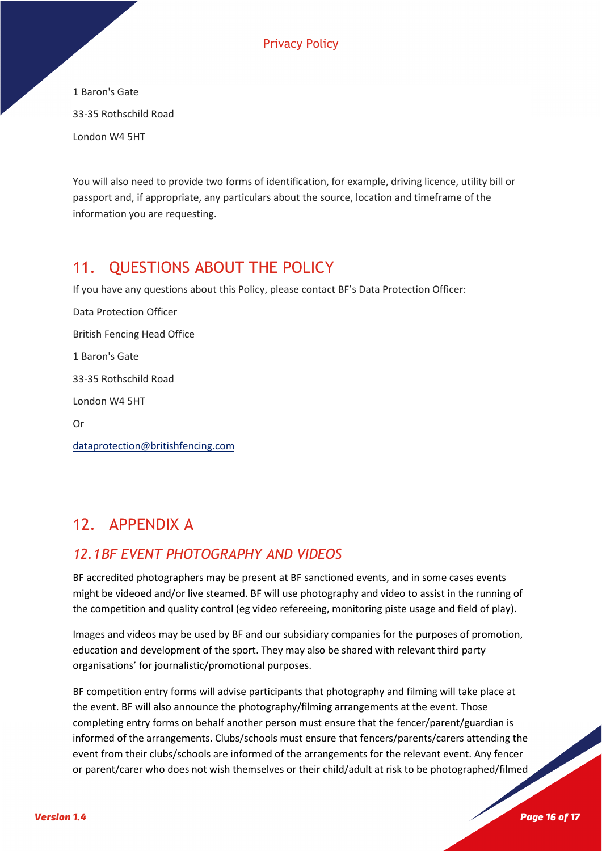1 Baron's Gate 33-35 Rothschild Road London W4 5HT

You will also need to provide two forms of identification, for example, driving licence, utility bill or passport and, if appropriate, any particulars about the source, location and timeframe of the information you are requesting.

# <span id="page-15-0"></span>11. QUESTIONS ABOUT THE POLICY

If you have any questions about this Policy, please contact BF's Data Protection Officer:

Data Protection Officer British Fencing Head Office 1 Baron's Gate 33-35 Rothschild Road London W4 5HT Or [dataprotection@britishfencing.com](mailto:dataprotection@britishfencing.com) 

# <span id="page-15-1"></span>12. APPENDIX A

# <span id="page-15-2"></span>*12.1BF EVENT PHOTOGRAPHY AND VIDEOS*

BF accredited photographers may be present at BF sanctioned events, and in some cases events might be videoed and/or live steamed. BF will use photography and video to assist in the running of the competition and quality control (eg video refereeing, monitoring piste usage and field of play).

Images and videos may be used by BF and our subsidiary companies for the purposes of promotion, education and development of the sport. They may also be shared with relevant third party organisations' for journalistic/promotional purposes.

BF competition entry forms will advise participants that photography and filming will take place at the event. BF will also announce the photography/filming arrangements at the event. Those completing entry forms on behalf another person must ensure that the fencer/parent/guardian is informed of the arrangements. Clubs/schools must ensure that fencers/parents/carers attending the event from their clubs/schools are informed of the arrangements for the relevant event. Any fencer or parent/carer who does not wish themselves or their child/adult at risk to be photographed/filmed